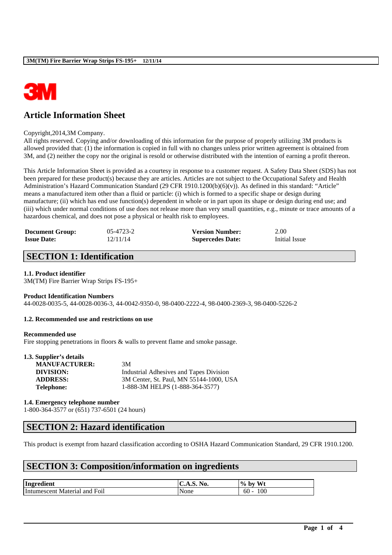

# **Article Information Sheet**

#### Copyright,2014,3M Company.

All rights reserved. Copying and/or downloading of this information for the purpose of properly utilizing 3M products is allowed provided that: (1) the information is copied in full with no changes unless prior written agreement is obtained from 3M, and (2) neither the copy nor the original is resold or otherwise distributed with the intention of earning a profit thereon.

This Article Information Sheet is provided as a courtesy in response to a customer request. A Safety Data Sheet (SDS) has not been prepared for these product(s) because they are articles. Articles are not subject to the Occupational Safety and Health Administration's Hazard Communication Standard (29 CFR 1910.1200(b)(6)(v)). As defined in this standard: "Article" means a manufactured item other than a fluid or particle: (i) which is formed to a specific shape or design during manufacture; (ii) which has end use function(s) dependent in whole or in part upon its shape or design during end use; and (iii) which under normal conditions of use does not release more than very small quantities, e.g., minute or trace amounts of a hazardous chemical, and does not pose a physical or health risk to employees.

| <b>Document Group:</b> | 05-4723-2 | <b>Version Number:</b>  | 2.00          |
|------------------------|-----------|-------------------------|---------------|
| <b>Issue Date:</b>     | 12/11/14  | <b>Supercedes Date:</b> | Initial Issue |

## **SECTION 1: Identification**

#### **1.1. Product identifier**

3M(TM) Fire Barrier Wrap Strips FS-195+

#### **Product Identification Numbers**

44-0028-0035-5, 44-0028-0036-3, 44-0042-9350-0, 98-0400-2222-4, 98-0400-2369-3, 98-0400-5226-2

### **1.2. Recommended use and restrictions on use**

#### **Recommended use**

Fire stopping penetrations in floors & walls to prevent flame and smoke passage.

| 1.3. Supplier's details |                                         |
|-------------------------|-----------------------------------------|
| <b>MANUFACTURER:</b>    | 3M                                      |
| DIVISION:               | Industrial Adhesives and Tapes Division |
| <b>ADDRESS:</b>         | 3M Center, St. Paul, MN 55144-1000, USA |
| <b>Telephone:</b>       | 1-888-3M HELPS (1-888-364-3577)         |
|                         |                                         |

**1.4. Emergency telephone number** 1-800-364-3577 or (651) 737-6501 (24 hours)

# **SECTION 2: Hazard identification**

This product is exempt from hazard classification according to OSHA Hazard Communication Standard, 29 CFR 1910.1200.

\_\_\_\_\_\_\_\_\_\_\_\_\_\_\_\_\_\_\_\_\_\_\_\_\_\_\_\_\_\_\_\_\_\_\_\_\_\_\_\_\_\_\_\_\_\_\_\_\_\_\_\_\_\_\_\_\_\_\_\_\_\_\_\_\_\_\_\_\_\_\_\_\_\_\_\_\_\_\_\_\_\_\_\_\_\_\_\_\_\_

## **SECTION 3: Composition/information on ingredients**

| Ingredient                                                      | C.A.S. No. | $W_1$<br>$\frac{0}{0}$<br>, by |
|-----------------------------------------------------------------|------------|--------------------------------|
| $\overline{\phantom{a}}$<br>and Foil<br>Intumescent<br>Material | None       | 100<br>.6G<br>-                |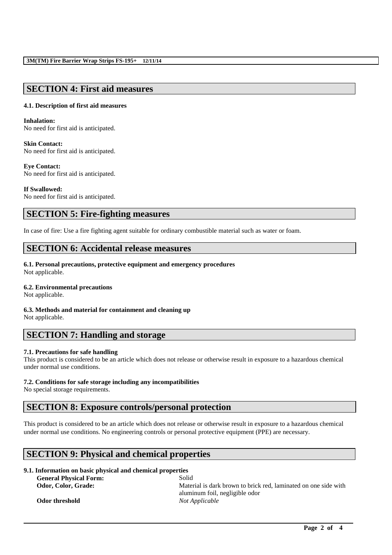### **SECTION 4: First aid measures**

#### **4.1. Description of first aid measures**

#### **Inhalation:**

No need for first aid is anticipated.

### **Skin Contact:**

No need for first aid is anticipated.

### **Eye Contact:**

No need for first aid is anticipated.

### **If Swallowed:**

No need for first aid is anticipated.

# **SECTION 5: Fire-fighting measures**

In case of fire: Use a fire fighting agent suitable for ordinary combustible material such as water or foam.

## **SECTION 6: Accidental release measures**

### **6.1. Personal precautions, protective equipment and emergency procedures**

Not applicable.

### **6.2. Environmental precautions**

Not applicable.

### **6.3. Methods and material for containment and cleaning up**

Not applicable.

# **SECTION 7: Handling and storage**

### **7.1. Precautions for safe handling**

This product is considered to be an article which does not release or otherwise result in exposure to a hazardous chemical under normal use conditions.

### **7.2. Conditions for safe storage including any incompatibilities**

No special storage requirements.

## **SECTION 8: Exposure controls/personal protection**

This product is considered to be an article which does not release or otherwise result in exposure to a hazardous chemical under normal use conditions. No engineering controls or personal protective equipment (PPE) are necessary.

\_\_\_\_\_\_\_\_\_\_\_\_\_\_\_\_\_\_\_\_\_\_\_\_\_\_\_\_\_\_\_\_\_\_\_\_\_\_\_\_\_\_\_\_\_\_\_\_\_\_\_\_\_\_\_\_\_\_\_\_\_\_\_\_\_\_\_\_\_\_\_\_\_\_\_\_\_\_\_\_\_\_\_\_\_\_\_\_\_\_

# **SECTION 9: Physical and chemical properties**

### **9.1. Information on basic physical and chemical properties**

**General Physical Form:** Solid

**Odor, Color, Grade: Material is dark brown to brick red, laminated on one side with** aluminum foil, negligible odor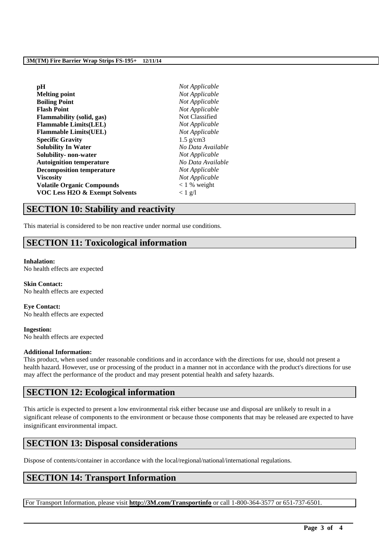| pH                                        | Not Applicable    |
|-------------------------------------------|-------------------|
| <b>Melting point</b>                      | Not Applicable    |
| <b>Boiling Point</b>                      | Not Applicable    |
| <b>Flash Point</b>                        | Not Applicable    |
| <b>Flammability</b> (solid, gas)          | Not Classified    |
| <b>Flammable Limits(LEL)</b>              | Not Applicable    |
| <b>Flammable Limits(UEL)</b>              | Not Applicable    |
| <b>Specific Gravity</b>                   | $1.5$ g/cm3       |
| <b>Solubility In Water</b>                | No Data Available |
| Solubility- non-water                     | Not Applicable    |
| <b>Autoignition temperature</b>           | No Data Available |
| <b>Decomposition temperature</b>          | Not Applicable    |
| <b>Viscosity</b>                          | Not Applicable    |
| <b>Volatile Organic Compounds</b>         | $< 1$ % weight    |
| <b>VOC Less H2O &amp; Exempt Solvents</b> | $< 1$ g/l         |

## **SECTION 10: Stability and reactivity**

This material is considered to be non reactive under normal use conditions.

# **SECTION 11: Toxicological information**

#### **Inhalation:**

No health effects are expected

**Skin Contact:** No health effects are expected

**Eye Contact:** No health effects are expected

**Ingestion:** No health effects are expected

### **Additional Information:**

This product, when used under reasonable conditions and in accordance with the directions for use, should not present a health hazard. However, use or processing of the product in a manner not in accordance with the product's directions for use may affect the performance of the product and may present potential health and safety hazards.

## **SECTION 12: Ecological information**

This article is expected to present a low environmental risk either because use and disposal are unlikely to result in a significant release of components to the environment or because those components that may be released are expected to have insignificant environmental impact.

## **SECTION 13: Disposal considerations**

Dispose of contents/container in accordance with the local/regional/national/international regulations.

# **SECTION 14: Transport Information**

For Transport Information, please visit **http://3M.com/Transportinfo** or call 1-800-364-3577 or 651-737-6501.

\_\_\_\_\_\_\_\_\_\_\_\_\_\_\_\_\_\_\_\_\_\_\_\_\_\_\_\_\_\_\_\_\_\_\_\_\_\_\_\_\_\_\_\_\_\_\_\_\_\_\_\_\_\_\_\_\_\_\_\_\_\_\_\_\_\_\_\_\_\_\_\_\_\_\_\_\_\_\_\_\_\_\_\_\_\_\_\_\_\_